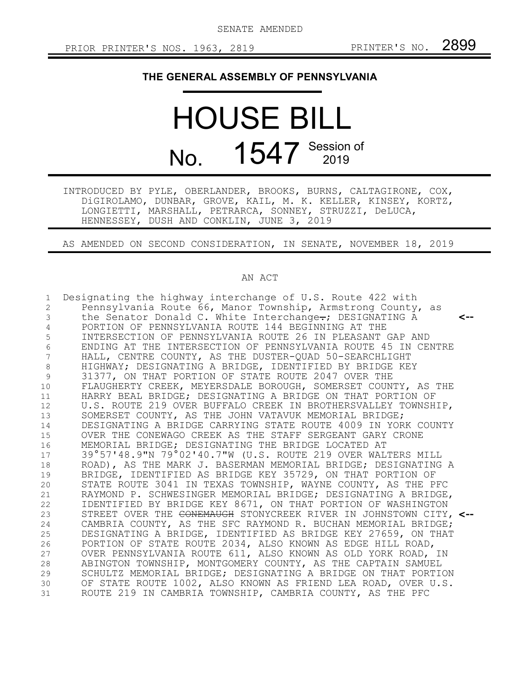SENATE AMENDED

## **THE GENERAL ASSEMBLY OF PENNSYLVANIA**

## HOUSE BILL No. 1547 Session of

INTRODUCED BY PYLE, OBERLANDER, BROOKS, BURNS, CALTAGIRONE, COX, DiGIROLAMO, DUNBAR, GROVE, KAIL, M. K. KELLER, KINSEY, KORTZ, LONGIETTI, MARSHALL, PETRARCA, SONNEY, STRUZZI, DeLUCA, HENNESSEY, DUSH AND CONKLIN, JUNE 3, 2019

AS AMENDED ON SECOND CONSIDERATION, IN SENATE, NOVEMBER 18, 2019

## AN ACT

| 1<br>2<br>3<br>4<br>5 | Designating the highway interchange of U.S. Route 422 with<br>Pennsylvania Route 66, Manor Township, Armstrong County, as<br>the Senator Donald C. White Interchange-; DESIGNATING A<br><--<br>PORTION OF PENNSYLVANIA ROUTE 144 BEGINNING AT THE<br>INTERSECTION OF PENNSYLVANIA ROUTE 26 IN PLEASANT GAP AND |
|-----------------------|----------------------------------------------------------------------------------------------------------------------------------------------------------------------------------------------------------------------------------------------------------------------------------------------------------------|
| 6<br>7                | ENDING AT THE INTERSECTION OF PENNSYLVANIA ROUTE 45 IN CENTRE<br>HALL, CENTRE COUNTY, AS THE DUSTER-QUAD 50-SEARCHLIGHT                                                                                                                                                                                        |
| 8                     | HIGHWAY; DESIGNATING A BRIDGE, IDENTIFIED BY BRIDGE KEY                                                                                                                                                                                                                                                        |
| $\mathcal{G}$         | 31377, ON THAT PORTION OF STATE ROUTE 2047 OVER THE                                                                                                                                                                                                                                                            |
| 10                    | FLAUGHERTY CREEK, MEYERSDALE BOROUGH, SOMERSET COUNTY, AS THE                                                                                                                                                                                                                                                  |
| 11                    | HARRY BEAL BRIDGE; DESIGNATING A BRIDGE ON THAT PORTION OF                                                                                                                                                                                                                                                     |
| 12                    | U.S. ROUTE 219 OVER BUFFALO CREEK IN BROTHERSVALLEY TOWNSHIP,                                                                                                                                                                                                                                                  |
| 13                    | SOMERSET COUNTY, AS THE JOHN VATAVUK MEMORIAL BRIDGE;                                                                                                                                                                                                                                                          |
| 14                    | DESIGNATING A BRIDGE CARRYING STATE ROUTE 4009 IN YORK COUNTY                                                                                                                                                                                                                                                  |
| 15                    | OVER THE CONEWAGO CREEK AS THE STAFF SERGEANT GARY CRONE                                                                                                                                                                                                                                                       |
| 16                    | MEMORIAL BRIDGE; DESIGNATING THE BRIDGE LOCATED AT                                                                                                                                                                                                                                                             |
| 17                    | 39°57'48.9"N 79°02'40.7"W (U.S. ROUTE 219 OVER WALTERS MILL                                                                                                                                                                                                                                                    |
| 18                    | ROAD), AS THE MARK J. BASERMAN MEMORIAL BRIDGE; DESIGNATING A                                                                                                                                                                                                                                                  |
| 19                    | BRIDGE, IDENTIFIED AS BRIDGE KEY 35729, ON THAT PORTION OF                                                                                                                                                                                                                                                     |
| 20                    | STATE ROUTE 3041 IN TEXAS TOWNSHIP, WAYNE COUNTY, AS THE PFC                                                                                                                                                                                                                                                   |
| 21                    | RAYMOND P. SCHWESINGER MEMORIAL BRIDGE; DESIGNATING A BRIDGE,                                                                                                                                                                                                                                                  |
| 22                    | IDENTIFIED BY BRIDGE KEY 8671, ON THAT PORTION OF WASHINGTON                                                                                                                                                                                                                                                   |
| 23                    | STREET OVER THE <del>CONEMAUGH</del> STONYCREEK RIVER IN JOHNSTOWN CITY, <--                                                                                                                                                                                                                                   |
| 24                    | CAMBRIA COUNTY, AS THE SFC RAYMOND R. BUCHAN MEMORIAL BRIDGE;                                                                                                                                                                                                                                                  |
| 25                    | DESIGNATING A BRIDGE, IDENTIFIED AS BRIDGE KEY 27659, ON THAT                                                                                                                                                                                                                                                  |
| 26                    | PORTION OF STATE ROUTE 2034, ALSO KNOWN AS EDGE HILL ROAD,                                                                                                                                                                                                                                                     |
| 27                    | OVER PENNSYLVANIA ROUTE 611, ALSO KNOWN AS OLD YORK ROAD, IN                                                                                                                                                                                                                                                   |
| 28                    | ABINGTON TOWNSHIP, MONTGOMERY COUNTY, AS THE CAPTAIN SAMUEL                                                                                                                                                                                                                                                    |
| 29                    | SCHULTZ MEMORIAL BRIDGE; DESIGNATING A BRIDGE ON THAT PORTION                                                                                                                                                                                                                                                  |
| 30                    | OF STATE ROUTE 1002, ALSO KNOWN AS FRIEND LEA ROAD, OVER U.S.                                                                                                                                                                                                                                                  |
| 31                    | ROUTE 219 IN CAMBRIA TOWNSHIP, CAMBRIA COUNTY, AS THE PFC                                                                                                                                                                                                                                                      |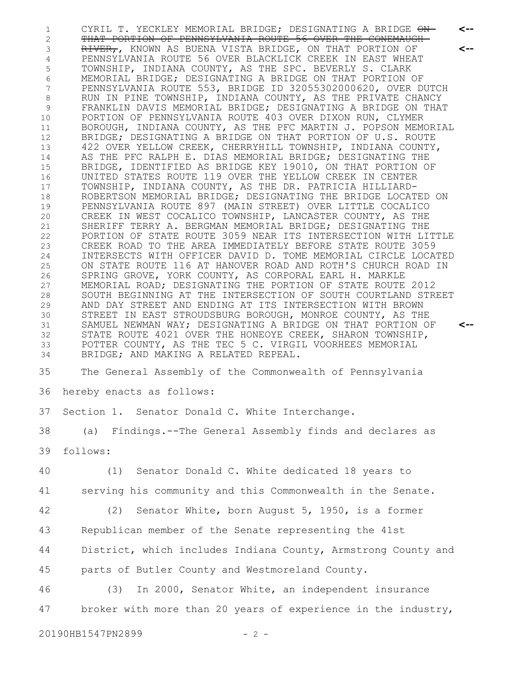CYRIL T. YECKLEY MEMORIAL BRIDGE; DESIGNATING A BRIDGE ON-THAT PORTION OF PENNSYLVANIA ROUTE 56 OVER THE CONEMAUGH RIVER,, KNOWN AS BUENA VISTA BRIDGE, ON THAT PORTION OF PENNSYLVANIA ROUTE 56 OVER BLACKLICK CREEK IN EAST WHEAT TOWNSHIP, INDIANA COUNTY, AS THE SPC. BEVERLY S. CLARK MEMORIAL BRIDGE; DESIGNATING A BRIDGE ON THAT PORTION OF PENNSYLVANIA ROUTE 553, BRIDGE ID 32055302000620, OVER DUTCH RUN IN PINE TOWNSHIP, INDIANA COUNTY, AS THE PRIVATE CHANCY FRANKLIN DAVIS MEMORIAL BRIDGE; DESIGNATING A BRIDGE ON THAT PORTION OF PENNSYLVANIA ROUTE 403 OVER DIXON RUN, CLYMER BOROUGH, INDIANA COUNTY, AS THE PFC MARTIN J. POPSON MEMORIAL BRIDGE; DESIGNATING A BRIDGE ON THAT PORTION OF U.S. ROUTE 422 OVER YELLOW CREEK, CHERRYHILL TOWNSHIP, INDIANA COUNTY, AS THE PFC RALPH E. DIAS MEMORIAL BRIDGE; DESIGNATING THE BRIDGE, IDENTIFIED AS BRIDGE KEY 19010, ON THAT PORTION OF UNITED STATES ROUTE 119 OVER THE YELLOW CREEK IN CENTER TOWNSHIP, INDIANA COUNTY, AS THE DR. PATRICIA HILLIARD-ROBERTSON MEMORIAL BRIDGE; DESIGNATING THE BRIDGE LOCATED ON PENNSYLVANIA ROUTE 897 (MAIN STREET) OVER LITTLE COCALICO CREEK IN WEST COCALICO TOWNSHIP, LANCASTER COUNTY, AS THE SHERIFF TERRY A. BERGMAN MEMORIAL BRIDGE; DESIGNATING THE PORTION OF STATE ROUTE 3059 NEAR ITS INTERSECTION WITH LITTLE CREEK ROAD TO THE AREA IMMEDIATELY BEFORE STATE ROUTE 3059 INTERSECTS WITH OFFICER DAVID D. TOME MEMORIAL CIRCLE LOCATED ON STATE ROUTE 116 AT HANOVER ROAD AND ROTH'S CHURCH ROAD IN SPRING GROVE, YORK COUNTY, AS CORPORAL EARL H. MARKLE MEMORIAL ROAD; DESIGNATING THE PORTION OF STATE ROUTE 2012 SOUTH BEGINNING AT THE INTERSECTION OF SOUTH COURTLAND STREET AND DAY STREET AND ENDING AT ITS INTERSECTION WITH BROWN STREET IN EAST STROUDSBURG BOROUGH, MONROE COUNTY, AS THE SAMUEL NEWMAN WAY; DESIGNATING A BRIDGE ON THAT PORTION OF STATE ROUTE 4021 OVER THE HONEOYE CREEK, SHARON TOWNSHIP, POTTER COUNTY, AS THE TEC 5 C. VIRGIL VOORHEES MEMORIAL BRIDGE; AND MAKING A RELATED REPEAL. The General Assembly of the Commonwealth of Pennsylvania hereby enacts as follows: 37 Section 1. Senator Donald C. White Interchange. (a) Findings.--The General Assembly finds and declares as follows: (1) Senator Donald C. White dedicated 18 years to serving his community and this Commonwealth in the Senate. (2) Senator White, born August 5, 1950, is a former Republican member of the Senate representing the 41st District, which includes Indiana County, Armstrong County and parts of Butler County and Westmoreland County. (3) In 2000, Senator White, an independent insurance broker with more than 20 years of experience in the industry, **<-- <-- <--** 1 2 3 4 5 6 7 8 9 10 11 12 13 14 15 16 17 18 19 20 21 22 23 24 25 26 27 28 29 30 31 32 33 34 35 36 38 39 40 41 42 43 44 45 46 47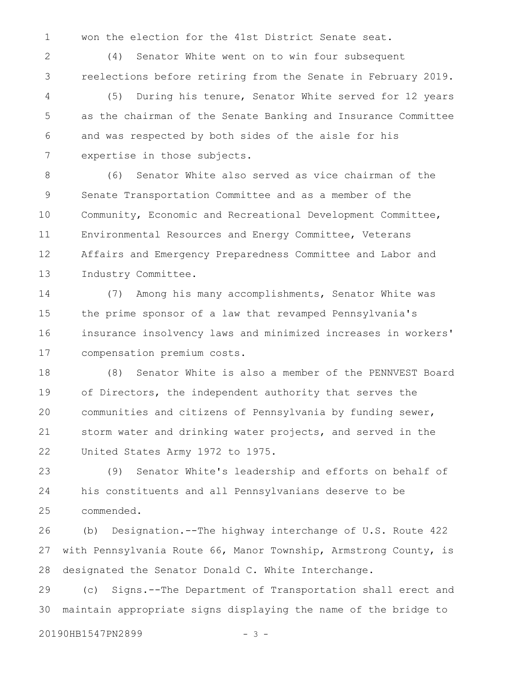won the election for the 41st District Senate seat. 1

(4) Senator White went on to win four subsequent reelections before retiring from the Senate in February 2019. 2 3

(5) During his tenure, Senator White served for 12 years as the chairman of the Senate Banking and Insurance Committee and was respected by both sides of the aisle for his expertise in those subjects. 4 5 6 7

(6) Senator White also served as vice chairman of the Senate Transportation Committee and as a member of the Community, Economic and Recreational Development Committee, Environmental Resources and Energy Committee, Veterans Affairs and Emergency Preparedness Committee and Labor and Industry Committee. 8 9 10 11 12 13

(7) Among his many accomplishments, Senator White was the prime sponsor of a law that revamped Pennsylvania's insurance insolvency laws and minimized increases in workers' compensation premium costs. 14 15 16 17

(8) Senator White is also a member of the PENNVEST Board of Directors, the independent authority that serves the communities and citizens of Pennsylvania by funding sewer, storm water and drinking water projects, and served in the United States Army 1972 to 1975. 18 19 20 21 22

(9) Senator White's leadership and efforts on behalf of his constituents and all Pennsylvanians deserve to be commended. 23 24 25

(b) Designation.--The highway interchange of U.S. Route 422 with Pennsylvania Route 66, Manor Township, Armstrong County, is designated the Senator Donald C. White Interchange. 26 27 28

(c) Signs.--The Department of Transportation shall erect and maintain appropriate signs displaying the name of the bridge to 29 30

20190HB1547PN2899 - 3 -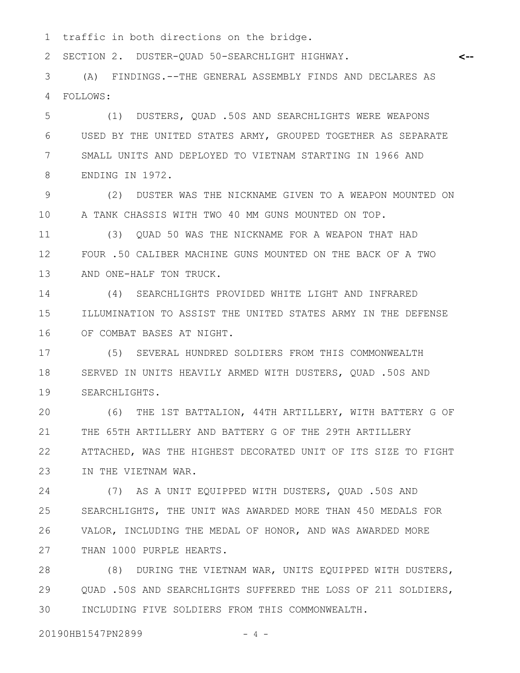traffic in both directions on the bridge. 1

SECTION 2. DUSTER-QUAD 50-SEARCHLIGHT HIGHWAY. 2

(A) FINDINGS.--THE GENERAL ASSEMBLY FINDS AND DECLARES AS FOLLOWS: 3 4

(1) DUSTERS, QUAD .50S AND SEARCHLIGHTS WERE WEAPONS USED BY THE UNITED STATES ARMY, GROUPED TOGETHER AS SEPARATE SMALL UNITS AND DEPLOYED TO VIETNAM STARTING IN 1966 AND ENDING IN 1972. 5 6 7 8

(2) DUSTER WAS THE NICKNAME GIVEN TO A WEAPON MOUNTED ON A TANK CHASSIS WITH TWO 40 MM GUNS MOUNTED ON TOP. 9 10

(3) QUAD 50 WAS THE NICKNAME FOR A WEAPON THAT HAD FOUR .50 CALIBER MACHINE GUNS MOUNTED ON THE BACK OF A TWO AND ONE-HALF TON TRUCK. 11 12 13

(4) SEARCHLIGHTS PROVIDED WHITE LIGHT AND INFRARED ILLUMINATION TO ASSIST THE UNITED STATES ARMY IN THE DEFENSE OF COMBAT BASES AT NIGHT. 14 15 16

(5) SEVERAL HUNDRED SOLDIERS FROM THIS COMMONWEALTH SERVED IN UNITS HEAVILY ARMED WITH DUSTERS, QUAD .50S AND SEARCHLIGHTS. 17 18 19

(6) THE 1ST BATTALION, 44TH ARTILLERY, WITH BATTERY G OF THE 65TH ARTILLERY AND BATTERY G OF THE 29TH ARTILLERY ATTACHED, WAS THE HIGHEST DECORATED UNIT OF ITS SIZE TO FIGHT IN THE VIETNAM WAR. 20 21 22 23

(7) AS A UNIT EQUIPPED WITH DUSTERS, QUAD .50S AND SEARCHLIGHTS, THE UNIT WAS AWARDED MORE THAN 450 MEDALS FOR VALOR, INCLUDING THE MEDAL OF HONOR, AND WAS AWARDED MORE THAN 1000 PURPLE HEARTS. 24 25 26 27

(8) DURING THE VIETNAM WAR, UNITS EQUIPPED WITH DUSTERS, QUAD .50S AND SEARCHLIGHTS SUFFERED THE LOSS OF 211 SOLDIERS, INCLUDING FIVE SOLDIERS FROM THIS COMMONWEALTH. 28 29 30

20190HB1547PN2899 - 4 -

**<--**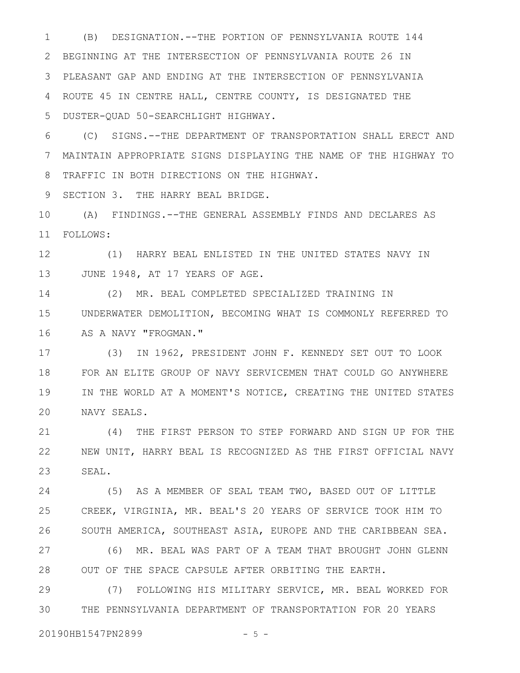(B) DESIGNATION.--THE PORTION OF PENNSYLVANIA ROUTE 144 BEGINNING AT THE INTERSECTION OF PENNSYLVANIA ROUTE 26 IN PLEASANT GAP AND ENDING AT THE INTERSECTION OF PENNSYLVANIA ROUTE 45 IN CENTRE HALL, CENTRE COUNTY, IS DESIGNATED THE DUSTER-QUAD 50-SEARCHLIGHT HIGHWAY. 1 2 3 4 5

(C) SIGNS.--THE DEPARTMENT OF TRANSPORTATION SHALL ERECT AND MAINTAIN APPROPRIATE SIGNS DISPLAYING THE NAME OF THE HIGHWAY TO TRAFFIC IN BOTH DIRECTIONS ON THE HIGHWAY. 6 7 8

SECTION 3. THE HARRY BEAL BRIDGE. 9

(A) FINDINGS.--THE GENERAL ASSEMBLY FINDS AND DECLARES AS FOLLOWS: 10 11

(1) HARRY BEAL ENLISTED IN THE UNITED STATES NAVY IN JUNE 1948, AT 17 YEARS OF AGE. 12 13

(2) MR. BEAL COMPLETED SPECIALIZED TRAINING IN UNDERWATER DEMOLITION, BECOMING WHAT IS COMMONLY REFERRED TO AS A NAVY "FROGMAN." 14 15 16

(3) IN 1962, PRESIDENT JOHN F. KENNEDY SET OUT TO LOOK FOR AN ELITE GROUP OF NAVY SERVICEMEN THAT COULD GO ANYWHERE IN THE WORLD AT A MOMENT'S NOTICE, CREATING THE UNITED STATES NAVY SEALS. 17 18 19 20

(4) THE FIRST PERSON TO STEP FORWARD AND SIGN UP FOR THE NEW UNIT, HARRY BEAL IS RECOGNIZED AS THE FIRST OFFICIAL NAVY SEAL. 21 22 23

(5) AS A MEMBER OF SEAL TEAM TWO, BASED OUT OF LITTLE CREEK, VIRGINIA, MR. BEAL'S 20 YEARS OF SERVICE TOOK HIM TO SOUTH AMERICA, SOUTHEAST ASIA, EUROPE AND THE CARIBBEAN SEA. 24 25 26

(6) MR. BEAL WAS PART OF A TEAM THAT BROUGHT JOHN GLENN OUT OF THE SPACE CAPSULE AFTER ORBITING THE EARTH. 27 28

(7) FOLLOWING HIS MILITARY SERVICE, MR. BEAL WORKED FOR THE PENNSYLVANIA DEPARTMENT OF TRANSPORTATION FOR 20 YEARS 29 30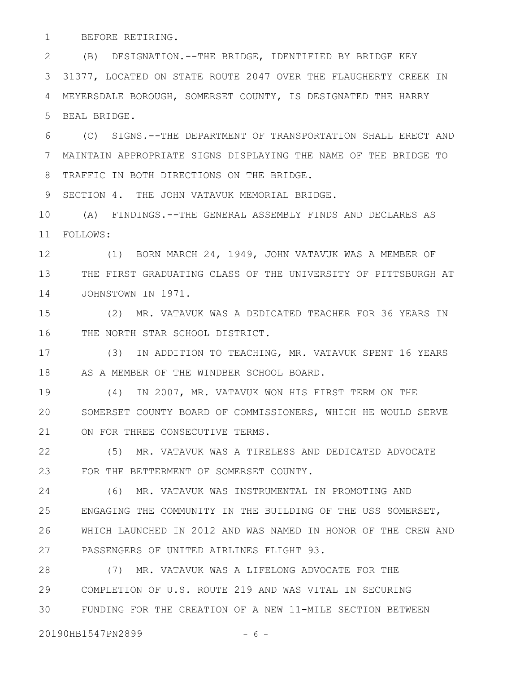BEFORE RETIRING. 1

(B) DESIGNATION.--THE BRIDGE, IDENTIFIED BY BRIDGE KEY 2 31377, LOCATED ON STATE ROUTE 2047 OVER THE FLAUGHERTY CREEK IN MEYERSDALE BOROUGH, SOMERSET COUNTY, IS DESIGNATED THE HARRY BEAL BRIDGE. 3 4 5

(C) SIGNS.--THE DEPARTMENT OF TRANSPORTATION SHALL ERECT AND MAINTAIN APPROPRIATE SIGNS DISPLAYING THE NAME OF THE BRIDGE TO TRAFFIC IN BOTH DIRECTIONS ON THE BRIDGE. 6 7 8

SECTION 4. THE JOHN VATAVUK MEMORIAL BRIDGE. 9

(A) FINDINGS.--THE GENERAL ASSEMBLY FINDS AND DECLARES AS FOLLOWS: 11 10

(1) BORN MARCH 24, 1949, JOHN VATAVUK WAS A MEMBER OF THE FIRST GRADUATING CLASS OF THE UNIVERSITY OF PITTSBURGH AT JOHNSTOWN IN 1971. 12 13 14

(2) MR. VATAVUK WAS A DEDICATED TEACHER FOR 36 YEARS IN THE NORTH STAR SCHOOL DISTRICT. 15 16

(3) IN ADDITION TO TEACHING, MR. VATAVUK SPENT 16 YEARS AS A MEMBER OF THE WINDBER SCHOOL BOARD. 17 18

(4) IN 2007, MR. VATAVUK WON HIS FIRST TERM ON THE SOMERSET COUNTY BOARD OF COMMISSIONERS, WHICH HE WOULD SERVE ON FOR THREE CONSECUTIVE TERMS. 19 20 21

(5) MR. VATAVUK WAS A TIRELESS AND DEDICATED ADVOCATE FOR THE BETTERMENT OF SOMERSET COUNTY. 22 23

(6) MR. VATAVUK WAS INSTRUMENTAL IN PROMOTING AND ENGAGING THE COMMUNITY IN THE BUILDING OF THE USS SOMERSET, WHICH LAUNCHED IN 2012 AND WAS NAMED IN HONOR OF THE CREW AND PASSENGERS OF UNITED AIRLINES FLIGHT 93. 24 25 26 27

(7) MR. VATAVUK WAS A LIFELONG ADVOCATE FOR THE COMPLETION OF U.S. ROUTE 219 AND WAS VITAL IN SECURING FUNDING FOR THE CREATION OF A NEW 11-MILE SECTION BETWEEN 28 29 30

20190HB1547PN2899 - 6 -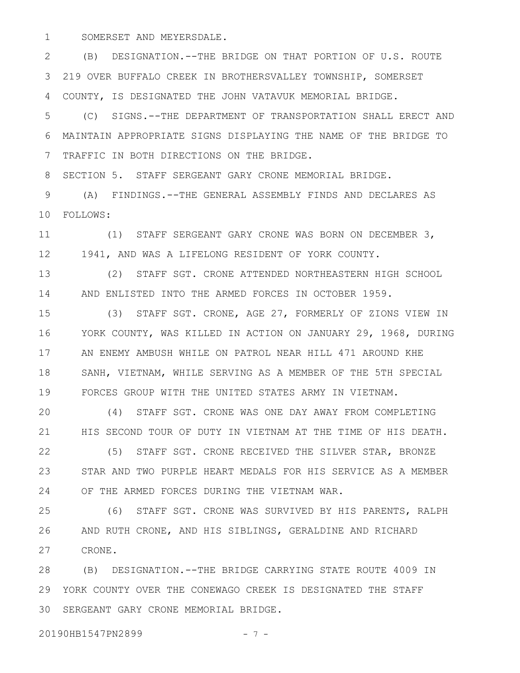SOMERSET AND MEYERSDALE. 1

(B) DESIGNATION.--THE BRIDGE ON THAT PORTION OF U.S. ROUTE 219 OVER BUFFALO CREEK IN BROTHERSVALLEY TOWNSHIP, SOMERSET COUNTY, IS DESIGNATED THE JOHN VATAVUK MEMORIAL BRIDGE. 2 3 4

(C) SIGNS.--THE DEPARTMENT OF TRANSPORTATION SHALL ERECT AND MAINTAIN APPROPRIATE SIGNS DISPLAYING THE NAME OF THE BRIDGE TO TRAFFIC IN BOTH DIRECTIONS ON THE BRIDGE. 5 6 7

SECTION 5. STAFF SERGEANT GARY CRONE MEMORIAL BRIDGE. 8

(A) FINDINGS.--THE GENERAL ASSEMBLY FINDS AND DECLARES AS FOLLOWS: 10 9

(1) STAFF SERGEANT GARY CRONE WAS BORN ON DECEMBER 3, 1941, AND WAS A LIFELONG RESIDENT OF YORK COUNTY. 11 12

(2) STAFF SGT. CRONE ATTENDED NORTHEASTERN HIGH SCHOOL AND ENLISTED INTO THE ARMED FORCES IN OCTOBER 1959. 13 14

(3) STAFF SGT. CRONE, AGE 27, FORMERLY OF ZIONS VIEW IN YORK COUNTY, WAS KILLED IN ACTION ON JANUARY 29, 1968, DURING AN ENEMY AMBUSH WHILE ON PATROL NEAR HILL 471 AROUND KHE SANH, VIETNAM, WHILE SERVING AS A MEMBER OF THE 5TH SPECIAL FORCES GROUP WITH THE UNITED STATES ARMY IN VIETNAM. 15 16 17 18 19

(4) STAFF SGT. CRONE WAS ONE DAY AWAY FROM COMPLETING HIS SECOND TOUR OF DUTY IN VIETNAM AT THE TIME OF HIS DEATH. 20 21

(5) STAFF SGT. CRONE RECEIVED THE SILVER STAR, BRONZE STAR AND TWO PURPLE HEART MEDALS FOR HIS SERVICE AS A MEMBER OF THE ARMED FORCES DURING THE VIETNAM WAR. 22 23 24

(6) STAFF SGT. CRONE WAS SURVIVED BY HIS PARENTS, RALPH AND RUTH CRONE, AND HIS SIBLINGS, GERALDINE AND RICHARD CRONE. 25 26 27

(B) DESIGNATION.--THE BRIDGE CARRYING STATE ROUTE 4009 IN YORK COUNTY OVER THE CONEWAGO CREEK IS DESIGNATED THE STAFF SERGEANT GARY CRONE MEMORIAL BRIDGE. 3028 29

20190HB1547PN2899 - 7 -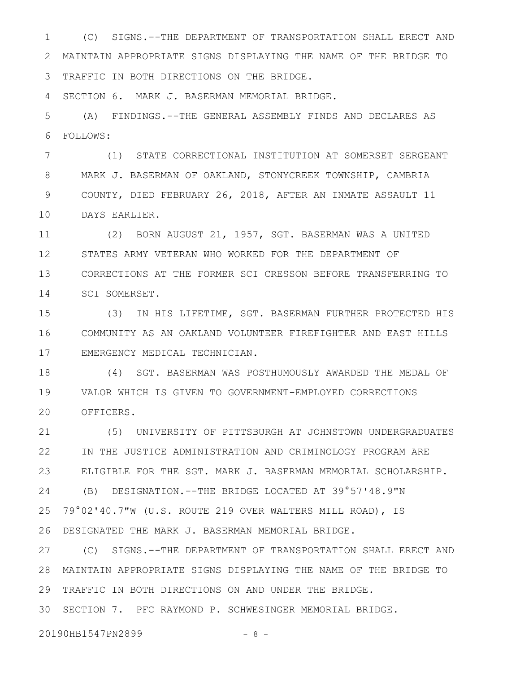(C) SIGNS.--THE DEPARTMENT OF TRANSPORTATION SHALL ERECT AND MAINTAIN APPROPRIATE SIGNS DISPLAYING THE NAME OF THE BRIDGE TO TRAFFIC IN BOTH DIRECTIONS ON THE BRIDGE. 1 2 3

SECTION 6. MARK J. BASERMAN MEMORIAL BRIDGE. 4

(A) FINDINGS.--THE GENERAL ASSEMBLY FINDS AND DECLARES AS FOLLOWS: 5 6

(1) STATE CORRECTIONAL INSTITUTION AT SOMERSET SERGEANT MARK J. BASERMAN OF OAKLAND, STONYCREEK TOWNSHIP, CAMBRIA COUNTY, DIED FEBRUARY 26, 2018, AFTER AN INMATE ASSAULT 11 DAYS EARLIER. 7 8 9 10

(2) BORN AUGUST 21, 1957, SGT. BASERMAN WAS A UNITED STATES ARMY VETERAN WHO WORKED FOR THE DEPARTMENT OF CORRECTIONS AT THE FORMER SCI CRESSON BEFORE TRANSFERRING TO SCI SOMERSET. 11 12 13 14

(3) IN HIS LIFETIME, SGT. BASERMAN FURTHER PROTECTED HIS COMMUNITY AS AN OAKLAND VOLUNTEER FIREFIGHTER AND EAST HILLS EMERGENCY MEDICAL TECHNICIAN. 15 16 17

(4) SGT. BASERMAN WAS POSTHUMOUSLY AWARDED THE MEDAL OF VALOR WHICH IS GIVEN TO GOVERNMENT-EMPLOYED CORRECTIONS OFFICERS. 18 19 20

(5) UNIVERSITY OF PITTSBURGH AT JOHNSTOWN UNDERGRADUATES IN THE JUSTICE ADMINISTRATION AND CRIMINOLOGY PROGRAM ARE ELIGIBLE FOR THE SGT. MARK J. BASERMAN MEMORIAL SCHOLARSHIP. (B) DESIGNATION.--THE BRIDGE LOCATED AT 39°57'48.9"N 79°02'40.7"W (U.S. ROUTE 219 OVER WALTERS MILL ROAD), IS DESIGNATED THE MARK J. BASERMAN MEMORIAL BRIDGE. 21 22 23 24 25 26

(C) SIGNS.--THE DEPARTMENT OF TRANSPORTATION SHALL ERECT AND MAINTAIN APPROPRIATE SIGNS DISPLAYING THE NAME OF THE BRIDGE TO 28 TRAFFIC IN BOTH DIRECTIONS ON AND UNDER THE BRIDGE. 27 29

SECTION 7. PFC RAYMOND P. SCHWESINGER MEMORIAL BRIDGE. 30

20190HB1547PN2899 - 8 -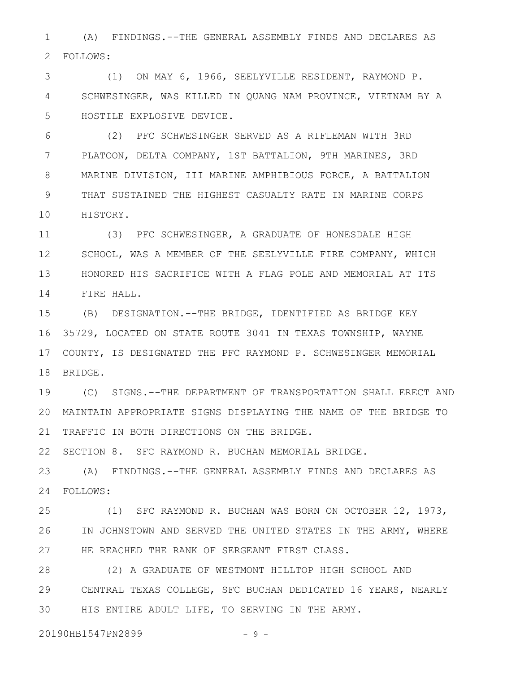(A) FINDINGS.--THE GENERAL ASSEMBLY FINDS AND DECLARES AS FOLLOWS: 2 1

(1) ON MAY 6, 1966, SEELYVILLE RESIDENT, RAYMOND P. SCHWESINGER, WAS KILLED IN QUANG NAM PROVINCE, VIETNAM BY A HOSTILE EXPLOSIVE DEVICE. 3 4 5

(2) PFC SCHWESINGER SERVED AS A RIFLEMAN WITH 3RD PLATOON, DELTA COMPANY, 1ST BATTALION, 9TH MARINES, 3RD MARINE DIVISION, III MARINE AMPHIBIOUS FORCE, A BATTALION THAT SUSTAINED THE HIGHEST CASUALTY RATE IN MARINE CORPS HISTORY. 6 7 8 9 10

(3) PFC SCHWESINGER, A GRADUATE OF HONESDALE HIGH SCHOOL, WAS A MEMBER OF THE SEELYVILLE FIRE COMPANY, WHICH HONORED HIS SACRIFICE WITH A FLAG POLE AND MEMORIAL AT ITS FIRE HALL. 11 12 13 14

(B) DESIGNATION.--THE BRIDGE, IDENTIFIED AS BRIDGE KEY 35729, LOCATED ON STATE ROUTE 3041 IN TEXAS TOWNSHIP, WAYNE COUNTY, IS DESIGNATED THE PFC RAYMOND P. SCHWESINGER MEMORIAL 18 BRIDGE. 15 16 17

(C) SIGNS.--THE DEPARTMENT OF TRANSPORTATION SHALL ERECT AND MAINTAIN APPROPRIATE SIGNS DISPLAYING THE NAME OF THE BRIDGE TO 20 21 TRAFFIC IN BOTH DIRECTIONS ON THE BRIDGE. 19

22 SECTION 8. SFC RAYMOND R. BUCHAN MEMORIAL BRIDGE.

(A) FINDINGS.--THE GENERAL ASSEMBLY FINDS AND DECLARES AS FOLLOWS: 24 23

(1) SFC RAYMOND R. BUCHAN WAS BORN ON OCTOBER 12, 1973, IN JOHNSTOWN AND SERVED THE UNITED STATES IN THE ARMY, WHERE 27 HE REACHED THE RANK OF SERGEANT FIRST CLASS. 25 26

(2) A GRADUATE OF WESTMONT HILLTOP HIGH SCHOOL AND CENTRAL TEXAS COLLEGE, SFC BUCHAN DEDICATED 16 YEARS, NEARLY HIS ENTIRE ADULT LIFE, TO SERVING IN THE ARMY. 28 29 30

20190HB1547PN2899 - 9 -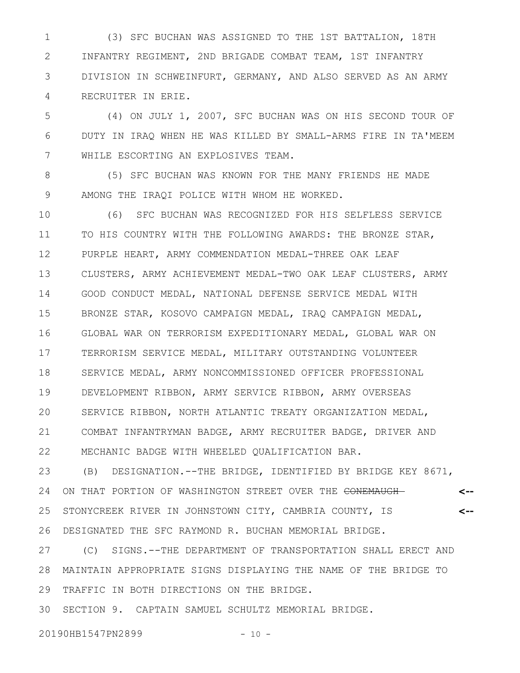(3) SFC BUCHAN WAS ASSIGNED TO THE 1ST BATTALION, 18TH INFANTRY REGIMENT, 2ND BRIGADE COMBAT TEAM, 1ST INFANTRY DIVISION IN SCHWEINFURT, GERMANY, AND ALSO SERVED AS AN ARMY RECRUITER IN ERIE. 1 2 3 4

(4) ON JULY 1, 2007, SFC BUCHAN WAS ON HIS SECOND TOUR OF DUTY IN IRAQ WHEN HE WAS KILLED BY SMALL-ARMS FIRE IN TA'MEEM WHILE ESCORTING AN EXPLOSIVES TEAM. 5 6 7

(5) SFC BUCHAN WAS KNOWN FOR THE MANY FRIENDS HE MADE AMONG THE IRAQI POLICE WITH WHOM HE WORKED. 8 9

(6) SFC BUCHAN WAS RECOGNIZED FOR HIS SELFLESS SERVICE TO HIS COUNTRY WITH THE FOLLOWING AWARDS: THE BRONZE STAR, PURPLE HEART, ARMY COMMENDATION MEDAL-THREE OAK LEAF CLUSTERS, ARMY ACHIEVEMENT MEDAL-TWO OAK LEAF CLUSTERS, ARMY GOOD CONDUCT MEDAL, NATIONAL DEFENSE SERVICE MEDAL WITH BRONZE STAR, KOSOVO CAMPAIGN MEDAL, IRAQ CAMPAIGN MEDAL, GLOBAL WAR ON TERRORISM EXPEDITIONARY MEDAL, GLOBAL WAR ON TERRORISM SERVICE MEDAL, MILITARY OUTSTANDING VOLUNTEER SERVICE MEDAL, ARMY NONCOMMISSIONED OFFICER PROFESSIONAL DEVELOPMENT RIBBON, ARMY SERVICE RIBBON, ARMY OVERSEAS SERVICE RIBBON, NORTH ATLANTIC TREATY ORGANIZATION MEDAL, COMBAT INFANTRYMAN BADGE, ARMY RECRUITER BADGE, DRIVER AND MECHANIC BADGE WITH WHEELED QUALIFICATION BAR. 10 11 12 13 14 15 16 17 18 19 20 21 22

(B) DESIGNATION.--THE BRIDGE, IDENTIFIED BY BRIDGE KEY 8671, ON THAT PORTION OF WASHINGTON STREET OVER THE CONEMAUGH-STONYCREEK RIVER IN JOHNSTOWN CITY, CAMBRIA COUNTY, IS DESIGNATED THE SFC RAYMOND R. BUCHAN MEMORIAL BRIDGE. **<-- <--** 23 24 25 26

(C) SIGNS.--THE DEPARTMENT OF TRANSPORTATION SHALL ERECT AND MAINTAIN APPROPRIATE SIGNS DISPLAYING THE NAME OF THE BRIDGE TO 28 TRAFFIC IN BOTH DIRECTIONS ON THE BRIDGE. 27 29

SECTION 9. CAPTAIN SAMUEL SCHULTZ MEMORIAL BRIDGE. 30

20190HB1547PN2899 - 10 -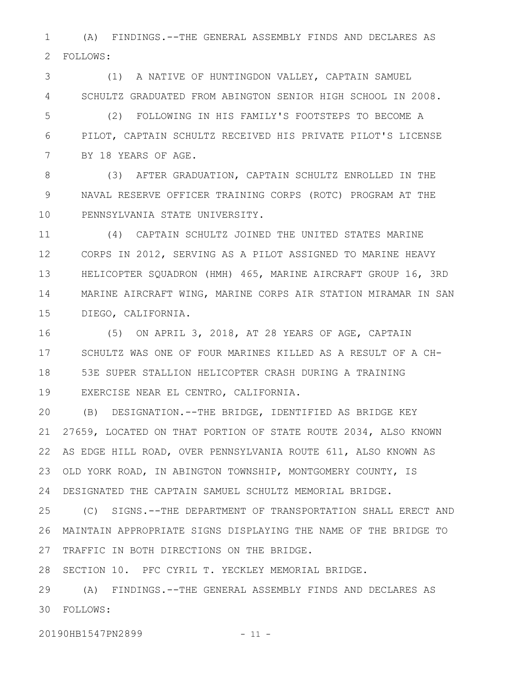(A) FINDINGS.--THE GENERAL ASSEMBLY FINDS AND DECLARES AS FOLLOWS: 1 2

(1) A NATIVE OF HUNTINGDON VALLEY, CAPTAIN SAMUEL SCHULTZ GRADUATED FROM ABINGTON SENIOR HIGH SCHOOL IN 2008. 3 4

(2) FOLLOWING IN HIS FAMILY'S FOOTSTEPS TO BECOME A PILOT, CAPTAIN SCHULTZ RECEIVED HIS PRIVATE PILOT'S LICENSE BY 18 YEARS OF AGE. 5 6 7

(3) AFTER GRADUATION, CAPTAIN SCHULTZ ENROLLED IN THE NAVAL RESERVE OFFICER TRAINING CORPS (ROTC) PROGRAM AT THE PENNSYLVANIA STATE UNIVERSITY. 8 9 10

(4) CAPTAIN SCHULTZ JOINED THE UNITED STATES MARINE CORPS IN 2012, SERVING AS A PILOT ASSIGNED TO MARINE HEAVY HELICOPTER SQUADRON (HMH) 465, MARINE AIRCRAFT GROUP 16, 3RD MARINE AIRCRAFT WING, MARINE CORPS AIR STATION MIRAMAR IN SAN DIEGO, CALIFORNIA. 11 12 13 14 15

(5) ON APRIL 3, 2018, AT 28 YEARS OF AGE, CAPTAIN SCHULTZ WAS ONE OF FOUR MARINES KILLED AS A RESULT OF A CH-53E SUPER STALLION HELICOPTER CRASH DURING A TRAINING EXERCISE NEAR EL CENTRO, CALIFORNIA. 16 17 18 19

(B) DESIGNATION.--THE BRIDGE, IDENTIFIED AS BRIDGE KEY 27659, LOCATED ON THAT PORTION OF STATE ROUTE 2034, ALSO KNOWN AS EDGE HILL ROAD, OVER PENNSYLVANIA ROUTE 611, ALSO KNOWN AS OLD YORK ROAD, IN ABINGTON TOWNSHIP, MONTGOMERY COUNTY, IS DESIGNATED THE CAPTAIN SAMUEL SCHULTZ MEMORIAL BRIDGE. 20 21 22 23 24

(C) SIGNS.--THE DEPARTMENT OF TRANSPORTATION SHALL ERECT AND MAINTAIN APPROPRIATE SIGNS DISPLAYING THE NAME OF THE BRIDGE TO 27 TRAFFIC IN BOTH DIRECTIONS ON THE BRIDGE. 25 26

28 SECTION 10. PFC CYRIL T. YECKLEY MEMORIAL BRIDGE.

(A) FINDINGS.--THE GENERAL ASSEMBLY FINDS AND DECLARES AS FOLLOWS: 3029

20190HB1547PN2899 - 11 -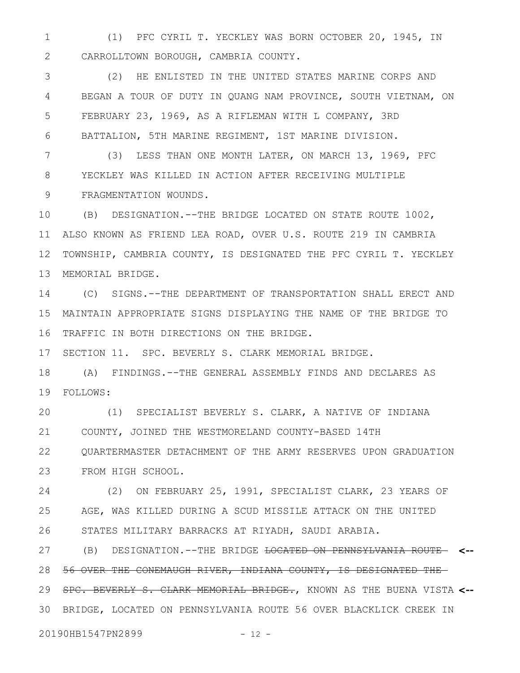(1) PFC CYRIL T. YECKLEY WAS BORN OCTOBER 20, 1945, IN CARROLLTOWN BOROUGH, CAMBRIA COUNTY. 1 2

(2) HE ENLISTED IN THE UNITED STATES MARINE CORPS AND BEGAN A TOUR OF DUTY IN QUANG NAM PROVINCE, SOUTH VIETNAM, ON FEBRUARY 23, 1969, AS A RIFLEMAN WITH L COMPANY, 3RD BATTALION, 5TH MARINE REGIMENT, 1ST MARINE DIVISION. 3 4 5 6

(3) LESS THAN ONE MONTH LATER, ON MARCH 13, 1969, PFC YECKLEY WAS KILLED IN ACTION AFTER RECEIVING MULTIPLE FRAGMENTATION WOUNDS. 7 8 9

(B) DESIGNATION.--THE BRIDGE LOCATED ON STATE ROUTE 1002, ALSO KNOWN AS FRIEND LEA ROAD, OVER U.S. ROUTE 219 IN CAMBRIA TOWNSHIP, CAMBRIA COUNTY, IS DESIGNATED THE PFC CYRIL T. YECKLEY MEMORIAL BRIDGE. 10 11 12 13

(C) SIGNS.--THE DEPARTMENT OF TRANSPORTATION SHALL ERECT AND MAINTAIN APPROPRIATE SIGNS DISPLAYING THE NAME OF THE BRIDGE TO TRAFFIC IN BOTH DIRECTIONS ON THE BRIDGE. 14 15 16

SECTION 11. SPC. BEVERLY S. CLARK MEMORIAL BRIDGE. 17

(A) FINDINGS.--THE GENERAL ASSEMBLY FINDS AND DECLARES AS FOLLOWS: 19 18

(1) SPECIALIST BEVERLY S. CLARK, A NATIVE OF INDIANA COUNTY, JOINED THE WESTMORELAND COUNTY-BASED 14TH QUARTERMASTER DETACHMENT OF THE ARMY RESERVES UPON GRADUATION FROM HIGH SCHOOL. 20 21 22 23

(2) ON FEBRUARY 25, 1991, SPECIALIST CLARK, 23 YEARS OF AGE, WAS KILLED DURING A SCUD MISSILE ATTACK ON THE UNITED STATES MILITARY BARRACKS AT RIYADH, SAUDI ARABIA. 24 25 26

(B) DESIGNATION.--THE BRIDGE LOCATED ON PENNSYLVANIA ROUTE **<--** 56 OVER THE CONEMAUGH RIVER, INDIANA COUNTY, IS DESIGNATED THE SPC. BEVERLY S. CLARK MEMORIAL BRIDGE., KNOWN AS THE BUENA VISTA **<--** 29 BRIDGE, LOCATED ON PENNSYLVANIA ROUTE 56 OVER BLACKLICK CREEK IN 3027 28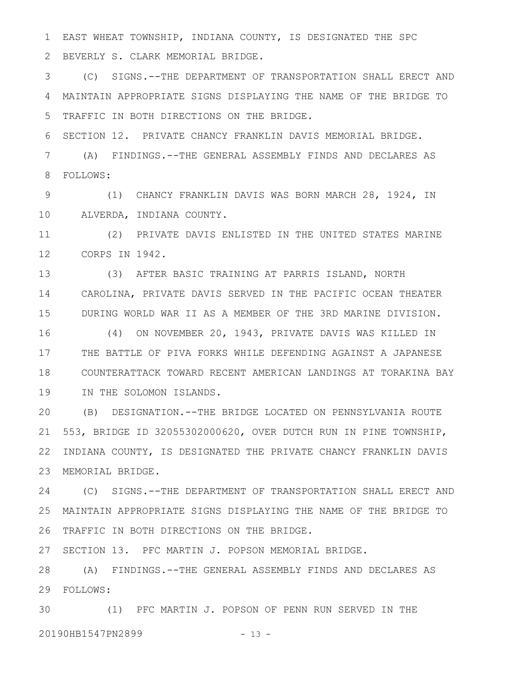EAST WHEAT TOWNSHIP, INDIANA COUNTY, IS DESIGNATED THE SPC BEVERLY S. CLARK MEMORIAL BRIDGE. 1 2

(C) SIGNS.--THE DEPARTMENT OF TRANSPORTATION SHALL ERECT AND MAINTAIN APPROPRIATE SIGNS DISPLAYING THE NAME OF THE BRIDGE TO TRAFFIC IN BOTH DIRECTIONS ON THE BRIDGE. 3 4 5

SECTION 12. PRIVATE CHANCY FRANKLIN DAVIS MEMORIAL BRIDGE. 6

(A) FINDINGS.--THE GENERAL ASSEMBLY FINDS AND DECLARES AS FOLLOWS: 7 8

(1) CHANCY FRANKLIN DAVIS WAS BORN MARCH 28, 1924, IN ALVERDA, INDIANA COUNTY. 9 10

(2) PRIVATE DAVIS ENLISTED IN THE UNITED STATES MARINE CORPS IN 1942. 12 11

(3) AFTER BASIC TRAINING AT PARRIS ISLAND, NORTH CAROLINA, PRIVATE DAVIS SERVED IN THE PACIFIC OCEAN THEATER DURING WORLD WAR II AS A MEMBER OF THE 3RD MARINE DIVISION. 13 14 15

(4) ON NOVEMBER 20, 1943, PRIVATE DAVIS WAS KILLED IN THE BATTLE OF PIVA FORKS WHILE DEFENDING AGAINST A JAPANESE COUNTERATTACK TOWARD RECENT AMERICAN LANDINGS AT TORAKINA BAY IN THE SOLOMON ISLANDS. 16 17 18 19

(B) DESIGNATION.--THE BRIDGE LOCATED ON PENNSYLVANIA ROUTE 553, BRIDGE ID 32055302000620, OVER DUTCH RUN IN PINE TOWNSHIP, INDIANA COUNTY, IS DESIGNATED THE PRIVATE CHANCY FRANKLIN DAVIS MEMORIAL BRIDGE. 23 20 21 22

(C) SIGNS.--THE DEPARTMENT OF TRANSPORTATION SHALL ERECT AND MAINTAIN APPROPRIATE SIGNS DISPLAYING THE NAME OF THE BRIDGE TO 25 26 TRAFFIC IN BOTH DIRECTIONS ON THE BRIDGE. 24

27 SECTION 13. PFC MARTIN J. POPSON MEMORIAL BRIDGE.

(A) FINDINGS.--THE GENERAL ASSEMBLY FINDS AND DECLARES AS 28 FOLLOWS: 29

(1) PFC MARTIN J. POPSON OF PENN RUN SERVED IN THE 3020190HB1547PN2899 - 13 -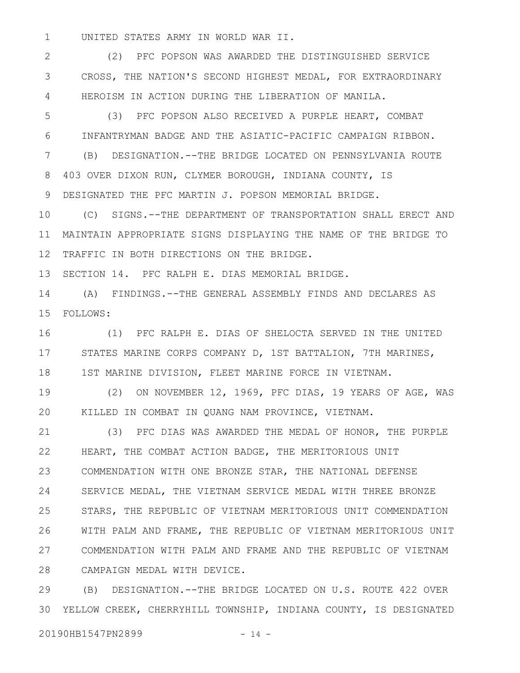UNITED STATES ARMY IN WORLD WAR II. 1

(2) PFC POPSON WAS AWARDED THE DISTINGUISHED SERVICE CROSS, THE NATION'S SECOND HIGHEST MEDAL, FOR EXTRAORDINARY HEROISM IN ACTION DURING THE LIBERATION OF MANILA. 2 3 4

(3) PFC POPSON ALSO RECEIVED A PURPLE HEART, COMBAT INFANTRYMAN BADGE AND THE ASIATIC-PACIFIC CAMPAIGN RIBBON. (B) DESIGNATION.--THE BRIDGE LOCATED ON PENNSYLVANIA ROUTE 403 OVER DIXON RUN, CLYMER BOROUGH, INDIANA COUNTY, IS DESIGNATED THE PFC MARTIN J. POPSON MEMORIAL BRIDGE. 5 6 7 8 9

(C) SIGNS.--THE DEPARTMENT OF TRANSPORTATION SHALL ERECT AND MAINTAIN APPROPRIATE SIGNS DISPLAYING THE NAME OF THE BRIDGE TO TRAFFIC IN BOTH DIRECTIONS ON THE BRIDGE. 10 11 12

SECTION 14. PFC RALPH E. DIAS MEMORIAL BRIDGE. 13

(A) FINDINGS.--THE GENERAL ASSEMBLY FINDS AND DECLARES AS FOLLOWS: 15 14

(1) PFC RALPH E. DIAS OF SHELOCTA SERVED IN THE UNITED STATES MARINE CORPS COMPANY D, 1ST BATTALION, 7TH MARINES, 1ST MARINE DIVISION, FLEET MARINE FORCE IN VIETNAM. 16 17 18

(2) ON NOVEMBER 12, 1969, PFC DIAS, 19 YEARS OF AGE, WAS KILLED IN COMBAT IN QUANG NAM PROVINCE, VIETNAM. 19 20

(3) PFC DIAS WAS AWARDED THE MEDAL OF HONOR, THE PURPLE HEART, THE COMBAT ACTION BADGE, THE MERITORIOUS UNIT COMMENDATION WITH ONE BRONZE STAR, THE NATIONAL DEFENSE SERVICE MEDAL, THE VIETNAM SERVICE MEDAL WITH THREE BRONZE STARS, THE REPUBLIC OF VIETNAM MERITORIOUS UNIT COMMENDATION WITH PALM AND FRAME, THE REPUBLIC OF VIETNAM MERITORIOUS UNIT COMMENDATION WITH PALM AND FRAME AND THE REPUBLIC OF VIETNAM CAMPAIGN MEDAL WITH DEVICE. 21 22 23 24 25 26 27 28

(B) DESIGNATION.--THE BRIDGE LOCATED ON U.S. ROUTE 422 OVER YELLOW CREEK, CHERRYHILL TOWNSHIP, INDIANA COUNTY, IS DESIGNATED 3029

20190HB1547PN2899 - 14 -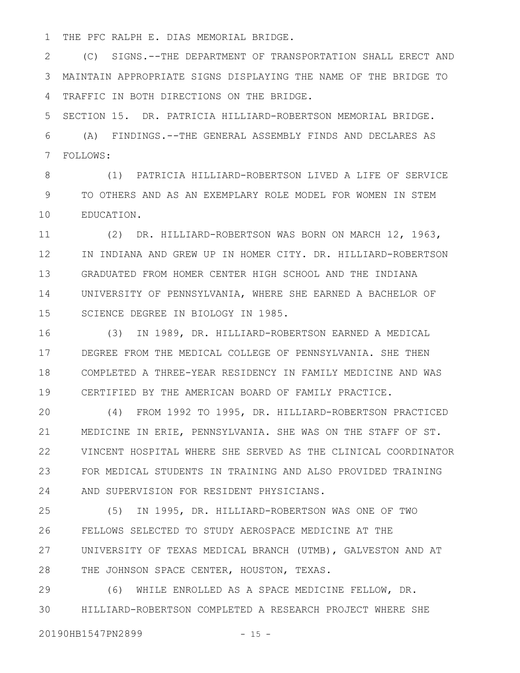THE PFC RALPH E. DIAS MEMORIAL BRIDGE. 1

(C) SIGNS.--THE DEPARTMENT OF TRANSPORTATION SHALL ERECT AND MAINTAIN APPROPRIATE SIGNS DISPLAYING THE NAME OF THE BRIDGE TO TRAFFIC IN BOTH DIRECTIONS ON THE BRIDGE. 2 3 4

SECTION 15. DR. PATRICIA HILLIARD-ROBERTSON MEMORIAL BRIDGE. (A) FINDINGS.--THE GENERAL ASSEMBLY FINDS AND DECLARES AS FOLLOWS: 5 6 7

(1) PATRICIA HILLIARD-ROBERTSON LIVED A LIFE OF SERVICE TO OTHERS AND AS AN EXEMPLARY ROLE MODEL FOR WOMEN IN STEM EDUCATION. 8 9 10

(2) DR. HILLIARD-ROBERTSON WAS BORN ON MARCH 12, 1963, IN INDIANA AND GREW UP IN HOMER CITY. DR. HILLIARD-ROBERTSON GRADUATED FROM HOMER CENTER HIGH SCHOOL AND THE INDIANA UNIVERSITY OF PENNSYLVANIA, WHERE SHE EARNED A BACHELOR OF SCIENCE DEGREE IN BIOLOGY IN 1985. 11 12 13 14 15

(3) IN 1989, DR. HILLIARD-ROBERTSON EARNED A MEDICAL DEGREE FROM THE MEDICAL COLLEGE OF PENNSYLVANIA. SHE THEN COMPLETED A THREE-YEAR RESIDENCY IN FAMILY MEDICINE AND WAS CERTIFIED BY THE AMERICAN BOARD OF FAMILY PRACTICE. 16 17 18 19

(4) FROM 1992 TO 1995, DR. HILLIARD-ROBERTSON PRACTICED MEDICINE IN ERIE, PENNSYLVANIA. SHE WAS ON THE STAFF OF ST. VINCENT HOSPITAL WHERE SHE SERVED AS THE CLINICAL COORDINATOR FOR MEDICAL STUDENTS IN TRAINING AND ALSO PROVIDED TRAINING AND SUPERVISION FOR RESIDENT PHYSICIANS. 20 21 22 23 24

(5) IN 1995, DR. HILLIARD-ROBERTSON WAS ONE OF TWO FELLOWS SELECTED TO STUDY AEROSPACE MEDICINE AT THE UNIVERSITY OF TEXAS MEDICAL BRANCH (UTMB), GALVESTON AND AT THE JOHNSON SPACE CENTER, HOUSTON, TEXAS. 25 26 27 28

(6) WHILE ENROLLED AS A SPACE MEDICINE FELLOW, DR. HILLIARD-ROBERTSON COMPLETED A RESEARCH PROJECT WHERE SHE 29 30

20190HB1547PN2899 - 15 -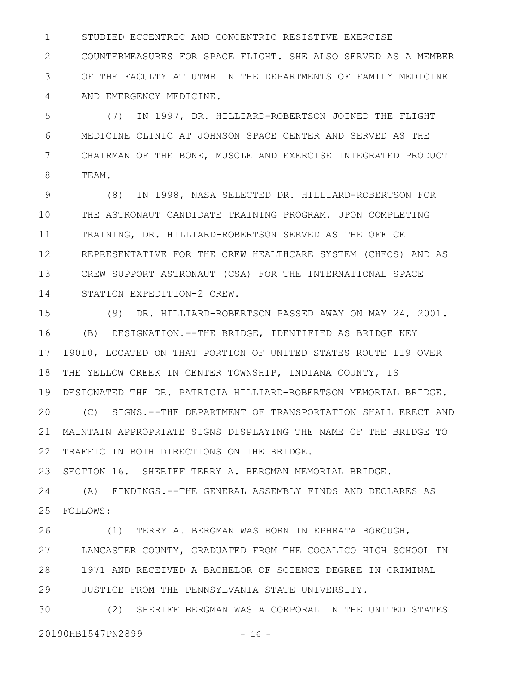STUDIED ECCENTRIC AND CONCENTRIC RESISTIVE EXERCISE COUNTERMEASURES FOR SPACE FLIGHT. SHE ALSO SERVED AS A MEMBER OF THE FACULTY AT UTMB IN THE DEPARTMENTS OF FAMILY MEDICINE AND EMERGENCY MEDICINE. 1 2 3 4

(7) IN 1997, DR. HILLIARD-ROBERTSON JOINED THE FLIGHT MEDICINE CLINIC AT JOHNSON SPACE CENTER AND SERVED AS THE CHAIRMAN OF THE BONE, MUSCLE AND EXERCISE INTEGRATED PRODUCT TEAM. 5 6 7 8

(8) IN 1998, NASA SELECTED DR. HILLIARD-ROBERTSON FOR THE ASTRONAUT CANDIDATE TRAINING PROGRAM. UPON COMPLETING TRAINING, DR. HILLIARD-ROBERTSON SERVED AS THE OFFICE REPRESENTATIVE FOR THE CREW HEALTHCARE SYSTEM (CHECS) AND AS CREW SUPPORT ASTRONAUT (CSA) FOR THE INTERNATIONAL SPACE STATION EXPEDITION-2 CREW. 9 10 11 12 13 14

(9) DR. HILLIARD-ROBERTSON PASSED AWAY ON MAY 24, 2001. (B) DESIGNATION.--THE BRIDGE, IDENTIFIED AS BRIDGE KEY 19010, LOCATED ON THAT PORTION OF UNITED STATES ROUTE 119 OVER THE YELLOW CREEK IN CENTER TOWNSHIP, INDIANA COUNTY, IS DESIGNATED THE DR. PATRICIA HILLIARD-ROBERTSON MEMORIAL BRIDGE. (C) SIGNS.--THE DEPARTMENT OF TRANSPORTATION SHALL ERECT AND MAINTAIN APPROPRIATE SIGNS DISPLAYING THE NAME OF THE BRIDGE TO TRAFFIC IN BOTH DIRECTIONS ON THE BRIDGE. 15 16 17 18 19 20 21 22

SECTION 16. SHERIFF TERRY A. BERGMAN MEMORIAL BRIDGE. 23

(A) FINDINGS.--THE GENERAL ASSEMBLY FINDS AND DECLARES AS FOLLOWS: 25 24

(1) TERRY A. BERGMAN WAS BORN IN EPHRATA BOROUGH, LANCASTER COUNTY, GRADUATED FROM THE COCALICO HIGH SCHOOL IN 1971 AND RECEIVED A BACHELOR OF SCIENCE DEGREE IN CRIMINAL JUSTICE FROM THE PENNSYLVANIA STATE UNIVERSITY. 26 27 28 29

(2) SHERIFF BERGMAN WAS A CORPORAL IN THE UNITED STATES 20190HB1547PN2899 - 16 -30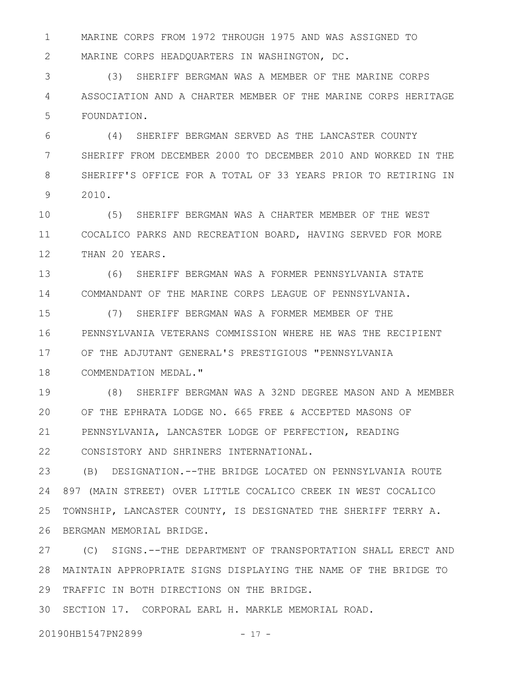MARINE CORPS FROM 1972 THROUGH 1975 AND WAS ASSIGNED TO MARINE CORPS HEADQUARTERS IN WASHINGTON, DC. 1 2

(3) SHERIFF BERGMAN WAS A MEMBER OF THE MARINE CORPS ASSOCIATION AND A CHARTER MEMBER OF THE MARINE CORPS HERITAGE FOUNDATION. 3 4 5

(4) SHERIFF BERGMAN SERVED AS THE LANCASTER COUNTY SHERIFF FROM DECEMBER 2000 TO DECEMBER 2010 AND WORKED IN THE SHERIFF'S OFFICE FOR A TOTAL OF 33 YEARS PRIOR TO RETIRING IN 2010. 6 7 8 9

(5) SHERIFF BERGMAN WAS A CHARTER MEMBER OF THE WEST COCALICO PARKS AND RECREATION BOARD, HAVING SERVED FOR MORE THAN 20 YEARS. 10 11 12

(6) SHERIFF BERGMAN WAS A FORMER PENNSYLVANIA STATE COMMANDANT OF THE MARINE CORPS LEAGUE OF PENNSYLVANIA. 13 14

(7) SHERIFF BERGMAN WAS A FORMER MEMBER OF THE PENNSYLVANIA VETERANS COMMISSION WHERE HE WAS THE RECIPIENT OF THE ADJUTANT GENERAL'S PRESTIGIOUS "PENNSYLVANIA COMMENDATION MEDAL." 15 16 17 18

(8) SHERIFF BERGMAN WAS A 32ND DEGREE MASON AND A MEMBER OF THE EPHRATA LODGE NO. 665 FREE & ACCEPTED MASONS OF PENNSYLVANIA, LANCASTER LODGE OF PERFECTION, READING CONSISTORY AND SHRINERS INTERNATIONAL. 19 20 21 22

(B) DESIGNATION.--THE BRIDGE LOCATED ON PENNSYLVANIA ROUTE 897 (MAIN STREET) OVER LITTLE COCALICO CREEK IN WEST COCALICO TOWNSHIP, LANCASTER COUNTY, IS DESIGNATED THE SHERIFF TERRY A. BERGMAN MEMORIAL BRIDGE. 23 24 25 26

(C) SIGNS.--THE DEPARTMENT OF TRANSPORTATION SHALL ERECT AND MAINTAIN APPROPRIATE SIGNS DISPLAYING THE NAME OF THE BRIDGE TO 28 29 TRAFFIC IN BOTH DIRECTIONS ON THE BRIDGE. 27

SECTION 17. CORPORAL EARL H. MARKLE MEMORIAL ROAD. 30

20190HB1547PN2899 - 17 -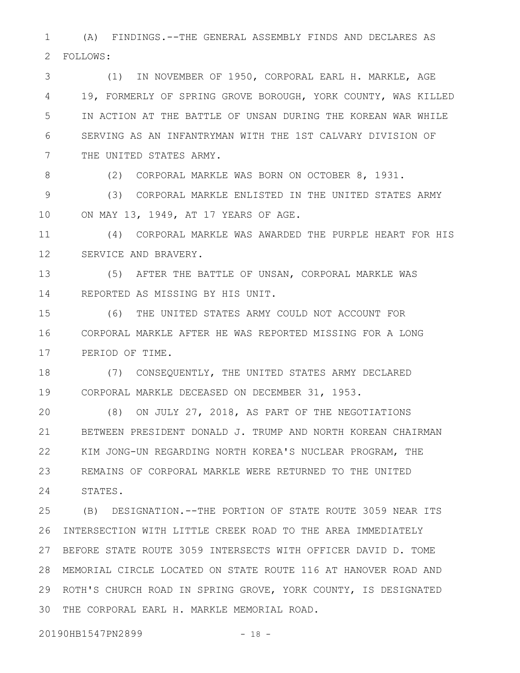(A) FINDINGS.--THE GENERAL ASSEMBLY FINDS AND DECLARES AS FOLLOWS: 1 2

(1) IN NOVEMBER OF 1950, CORPORAL EARL H. MARKLE, AGE 19, FORMERLY OF SPRING GROVE BOROUGH, YORK COUNTY, WAS KILLED IN ACTION AT THE BATTLE OF UNSAN DURING THE KOREAN WAR WHILE SERVING AS AN INFANTRYMAN WITH THE 1ST CALVARY DIVISION OF THE UNITED STATES ARMY. 3 4 5 6 7

8

(2) CORPORAL MARKLE WAS BORN ON OCTOBER 8, 1931.

(3) CORPORAL MARKLE ENLISTED IN THE UNITED STATES ARMY ON MAY 13, 1949, AT 17 YEARS OF AGE. 9 10

(4) CORPORAL MARKLE WAS AWARDED THE PURPLE HEART FOR HIS SERVICE AND BRAVERY. 11 12

(5) AFTER THE BATTLE OF UNSAN, CORPORAL MARKLE WAS REPORTED AS MISSING BY HIS UNIT. 13 14

(6) THE UNITED STATES ARMY COULD NOT ACCOUNT FOR CORPORAL MARKLE AFTER HE WAS REPORTED MISSING FOR A LONG PERIOD OF TIME. 15 16 17

(7) CONSEQUENTLY, THE UNITED STATES ARMY DECLARED CORPORAL MARKLE DECEASED ON DECEMBER 31, 1953. 18 19

(8) ON JULY 27, 2018, AS PART OF THE NEGOTIATIONS BETWEEN PRESIDENT DONALD J. TRUMP AND NORTH KOREAN CHAIRMAN KIM JONG-UN REGARDING NORTH KOREA'S NUCLEAR PROGRAM, THE REMAINS OF CORPORAL MARKLE WERE RETURNED TO THE UNITED STATES. 20 21 22 23 24

(B) DESIGNATION.--THE PORTION OF STATE ROUTE 3059 NEAR ITS INTERSECTION WITH LITTLE CREEK ROAD TO THE AREA IMMEDIATELY BEFORE STATE ROUTE 3059 INTERSECTS WITH OFFICER DAVID D. TOME 27 MEMORIAL CIRCLE LOCATED ON STATE ROUTE 116 AT HANOVER ROAD AND 28 ROTH'S CHURCH ROAD IN SPRING GROVE, YORK COUNTY, IS DESIGNATED 29 THE CORPORAL EARL H. MARKLE MEMORIAL ROAD. 3025 26

20190HB1547PN2899 - 18 -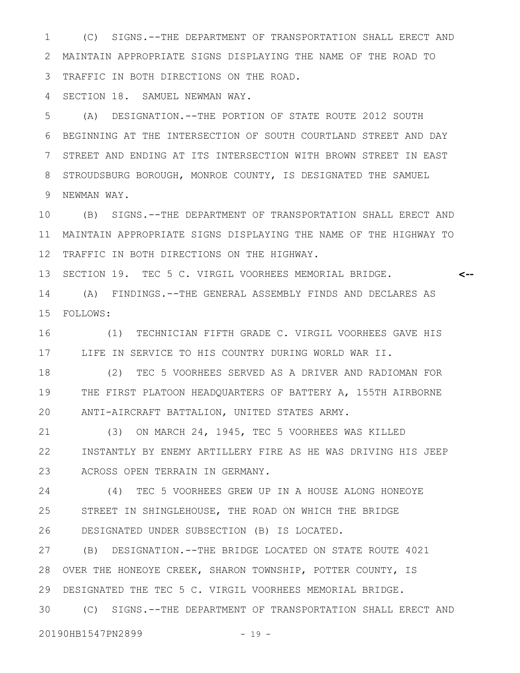(C) SIGNS.--THE DEPARTMENT OF TRANSPORTATION SHALL ERECT AND MAINTAIN APPROPRIATE SIGNS DISPLAYING THE NAME OF THE ROAD TO TRAFFIC IN BOTH DIRECTIONS ON THE ROAD. 1 2 3

SECTION 18. SAMUEL NEWMAN WAY. 4

(A) DESIGNATION.--THE PORTION OF STATE ROUTE 2012 SOUTH BEGINNING AT THE INTERSECTION OF SOUTH COURTLAND STREET AND DAY STREET AND ENDING AT ITS INTERSECTION WITH BROWN STREET IN EAST STROUDSBURG BOROUGH, MONROE COUNTY, IS DESIGNATED THE SAMUEL 9 NEWMAN WAY. 5 6 7 8

(B) SIGNS.--THE DEPARTMENT OF TRANSPORTATION SHALL ERECT AND MAINTAIN APPROPRIATE SIGNS DISPLAYING THE NAME OF THE HIGHWAY TO 11 TRAFFIC IN BOTH DIRECTIONS ON THE HIGHWAY. 10 12

**<--**

13 SECTION 19. TEC 5 C. VIRGIL VOORHEES MEMORIAL BRIDGE.

(A) FINDINGS.--THE GENERAL ASSEMBLY FINDS AND DECLARES AS FOLLOWS: 15 14

(1) TECHNICIAN FIFTH GRADE C. VIRGIL VOORHEES GAVE HIS 17 LIFE IN SERVICE TO HIS COUNTRY DURING WORLD WAR II. 16

(2) TEC 5 VOORHEES SERVED AS A DRIVER AND RADIOMAN FOR THE FIRST PLATOON HEADQUARTERS OF BATTERY A, 155TH AIRBORNE ANTI-AIRCRAFT BATTALION, UNITED STATES ARMY. 18 19 20

(3) ON MARCH 24, 1945, TEC 5 VOORHEES WAS KILLED INSTANTLY BY ENEMY ARTILLERY FIRE AS HE WAS DRIVING HIS JEEP ACROSS OPEN TERRAIN IN GERMANY. 21 22 23

(4) TEC 5 VOORHEES GREW UP IN A HOUSE ALONG HONEOYE STREET IN SHINGLEHOUSE, THE ROAD ON WHICH THE BRIDGE DESIGNATED UNDER SUBSECTION (B) IS LOCATED. 24 25 26

(B) DESIGNATION.--THE BRIDGE LOCATED ON STATE ROUTE 4021 28 OVER THE HONEOYE CREEK, SHARON TOWNSHIP, POTTER COUNTY, IS DESIGNATED THE TEC 5 C. VIRGIL VOORHEES MEMORIAL BRIDGE. 29 27

(C) SIGNS.--THE DEPARTMENT OF TRANSPORTATION SHALL ERECT AND 30

20190HB1547PN2899 - 19 -